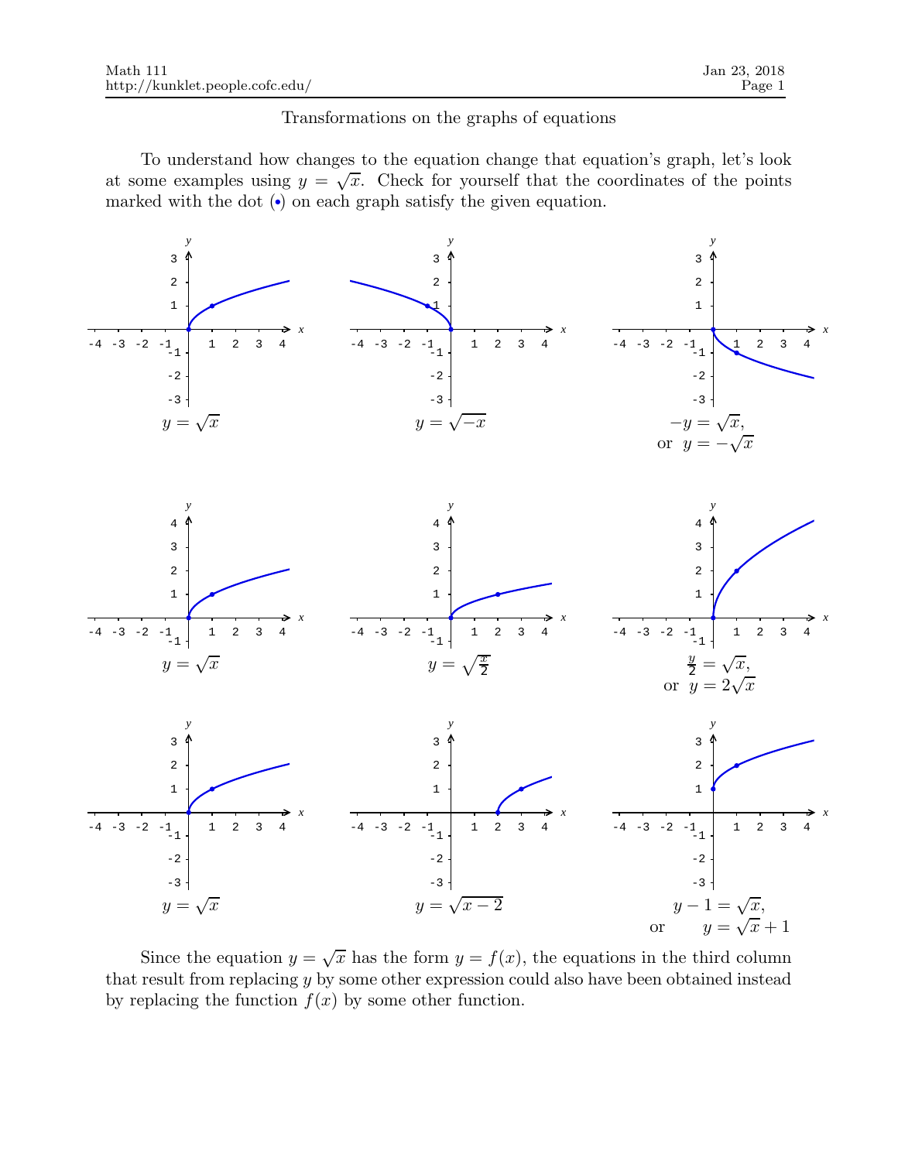## Transformations on the graphs of equations

To understand how changes to the equation change that equation's graph, let's look at some examples using  $y = \sqrt{x}$ . Check for yourself that the coordinates of the points marked with the dot  $\left( \cdot \right)$  on each graph satisfy the given equation.



Since the equation  $y = \sqrt{x}$  has the form  $y = f(x)$ , the equations in the third column that result from replacing y by some other expression could also have been obtained instead by replacing the function  $f(x)$  by some other function.